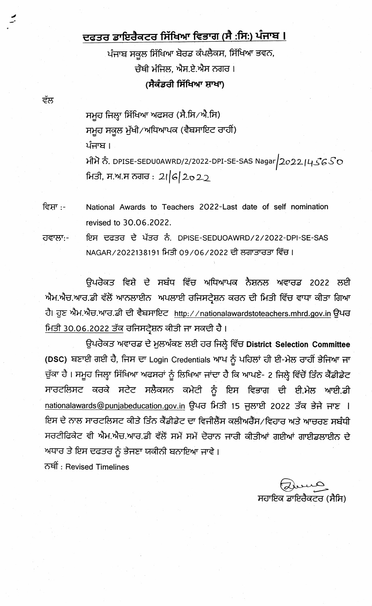## ਦਫਤਰ ਡਾਇਰੈਕਟਰ ਸਿੱਖਿਆ ਵਿਭਾਗ (ਸੈ :ਸਿ:) ਪੰਜਾਬ I

ਪੰਜਾਬ ਸਕੂਲ ਸਿੱਖਿਆ ਬੋਰਡ ਕੰਪਲੈਕਸ, ਸਿੱਖਿਆ ਭਵਨ, ਚੌਥੀ ਮੰਜਿਲ, ਐਸ.ਏ.ਐਸ ਨਗਰ। (ਸੈਕੰਡਰੀ ਸਿੱਖਿਆ ਸ਼ਾਖਾ)

ਸਮੂਹ ਜਿਲ੍ਹਾ ਸਿੱਖਿਆ ਅਫਸਰ (ਸੈ.ਸਿ/ਐ.ਸਿ) ਸਮੁਹ ਸਕੂਲ ਮੁੱਖੀ/ਅਧਿਆਪਕ (ਵੈਬਸਾਇਟ ਰਾਹੀਂ) ਪੰਜਾਬ । ਮੀਮੋ ਨੰ. DPISE-SEDU0AWRD/2/2022-DPI-SE-SAS Nagar $\big|2$ o $2$ 2 $\big|$ 4 $\mathcal{S}$ 6 $\mathcal{S}$ O ਮਿਤੀ, ਸ.ਅ.ਸ ਨਗਰ : 2।|6|2o22

ਵੱਲ

ਵਿਸ਼ਾ :-National Awards to Teachers 2022-Last date of self nomination revised to 30.06.2022.

ਇਸ ਦਫਤਰ ਦੇ ਪੱਤਰ ਨੰ. DPISE-SEDUOAWRD/2/2022-DPI-SE-SAS ਹਵਾਲਾ:-NAGAR/2022138191 ਮਿਤੀ 09/06/2022 ਦੀ ਲਗਾਤਾਰਤਾ ਵਿੱਚ ।

ਉਪਰੋਕਤ ਵਿਸ਼ੇ ਦੇ ਸਬੰਧ ਵਿੱਚ ਅਧਿਆਪਕ ਨੈਸ਼ਨਲ ਅਵਾਰਡ 2022 ਲਈ ਐਮ.ਐਚ.ਆਰ.ਡੀ ਵੱਲੋਂ ਆਨਲਾਈਨ ਅਪਲਾਈ ਰਜਿਸਟ੍ਰੇਸ਼ਨ ਕਰਨ ਦੀ ਮਿਤੀ ਵਿੱਚ ਵਾਧਾ ਕੀਤਾ ਗਿਆ ਹੈ। ਹੁਣ ਐਮ.ਐਚ.ਆਰ.ਡੀ ਦੀ ਵੈਬਸਾਇਟ http://nationalawardstoteachers.mhrd.gov.in ਉਪਰ ਮਿਤੀ 30.06.2022 ਤੱਕੂ ਰਜਿਸਟ੍ਰੇਸ਼ਨ ਕੀਤੀ ਜਾ ਸਕਦੀ ਹੈ।

ਉਪਰੋਕਤ ਅਵਾਰਡ ਦੇ ਮੁਲਅੰਕਣ ਲਈ ਹਰ ਜਿਲ੍ਹੇ ਵਿੱਚ District Selection Committee (DSC) ਬਣਾਈ ਗਈ ਹੈ, ਜਿਸ ਦਾ Login Credentials ਆਪ ਨੂੰ ਪਹਿਲਾਂ ਹੀ ਈ-ਮੇਲ ਰਾਹੀਂ ਭੇਜਿਆ ਜਾ ਚੁੱਕਾ ਹੈ । ਸਮੂਹ ਜਿਲ੍ਹਾ ਸਿੱਖਿਆ ਅਫਸਰਾਂ ਨੂੰ ਲਿਖਿਆ ਜਾਂਦਾ ਹੈ ਕਿ ਆਪਣੇ- 2 ਜਿਲ੍ਹੇ ਵਿੱਚੋਂ ਤਿੰਨ ਕੈਂਡੀਡੇਟ ਸਾਰਟਲਿਸਟ ਕਰਕੇ ਸਟੇਟ ਸਲੈਕਸਨ ਕਮੇਟੀ ਨੂੰ ਇਸ ਵਿਭਾਗ ਦੀ ਈ.ਮੇਲ ਆਈ.ਡੀ nationalawards@punjabeducation.gov.in ਉਪਰ ਮਿਤੀ 15 ਜੁਲਾਈ 2022 ਤੱਕ ਭੇਜੇ ਜਾਣ I ਇਸ ਦੇ ਨਾਲ ਸਾਰਟਲਿਸਟ ਕੀਤੇ ਤਿੰਨ ਕੈਂਡੀਡੇਟ ਦਾ ਵਿਜੀਲੈਂਸ ਕਲੀਅਰੈਂਸ/ਵਿਹਾਰ ਅਤੇ ਆਚਰਣ ਸਬੰਧੀ ਸਰਟੀਫਿਕੇਟ ਵੀ ਐਮ.ਐਚ.ਆਰ.ਡੀ ਵੱਲੋਂ ਸਮੇਂ ਸਮੇਂ ਦੋਰਾਨ ਜਾਰੀ ਕੀਤੀਆਂ ਗਈਆਂ ਗਾਈਡਲਾਈਨ ਦੇ ਅਧਾਰ ਤੇ ਇਸ ਦਫਤਰ ਨੂੰ ਭੇਜਣਾ ਯਕੀਨੀ ਬਨਾਇਆ ਜਾਵੇ। ਨਥੀਂ: Revised Timelines

ਸਹਾਇਕ ਡਾਇਰੈਕਟਰ (ਸੈਸਿ)